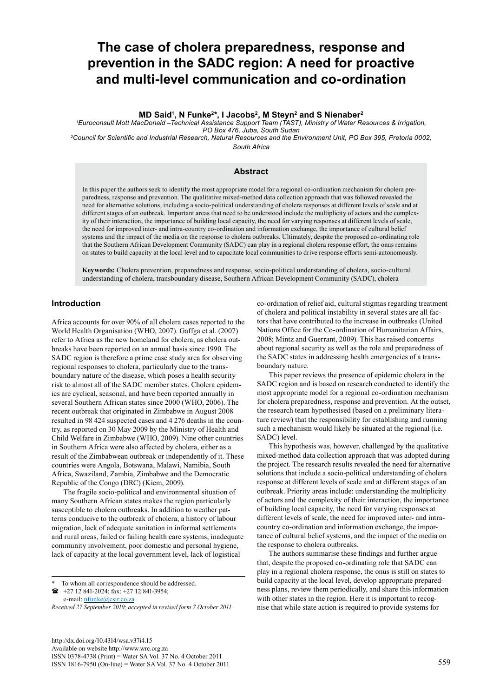# **The case of cholera preparedness, response and prevention in the SADC region: A need for proactive and multi-level communication and co-ordination**

**MD Said1 , N Funke2\*, I Jacobs2, M Steyn2 and S Nienaber2**

*1 Euroconsult Mott MacDonald –Technical Assistance Support Team (TAST), Ministry of Water Resources & Irrigation, PO Box 476, Juba, South Sudan*

*<sup>2</sup>Council for Scientific and Industrial Research, Natural Resources and the Environment Unit, PO Box 395, Pretoria 0002, South Africa*

## **Abstract**

In this paper the authors seek to identify the most appropriate model for a regional co-ordination mechanism for cholera preparedness, response and prevention. The qualitative mixed-method data collection approach that was followed revealed the need for alternative solutions, including a socio-political understanding of cholera responses at different levels of scale and at different stages of an outbreak. Important areas that need to be understood include the multiplicity of actors and the complexity of their interaction, the importance of building local capacity, the need for varying responses at different levels of scale, the need for improved inter- and intra-country co-ordination and information exchange, the importance of cultural belief systems and the impact of the media on the response to cholera outbreaks. Ultimately, despite the proposed co-ordinating role that the Southern African Development Community (SADC) can play in a regional cholera response effort, the onus remains on states to build capacity at the local level and to capacitate local communities to drive response efforts semi-autonomously.

**Keywords:** Cholera prevention, preparedness and response, socio-political understanding of cholera, socio-cultural understanding of cholera, transboundary disease, Southern African Development Community (SADC), cholera

# **Introduction**

Africa accounts for over 90% of all cholera cases reported to the World Health Organisation (WHO, 2007). Gaffga et al. (2007) refer to Africa as the new homeland for cholera, as cholera outbreaks have been reported on an annual basis since 1990. The SADC region is therefore a prime case study area for observing regional responses to cholera, particularly due to the transboundary nature of the disease, which poses a health security risk to almost all of the SADC member states. Cholera epidemics are cyclical, seasonal, and have been reported annually in several Southern African states since 2000 (WHO, 2006). The recent outbreak that originated in Zimbabwe in August 2008 resulted in 98 424 suspected cases and 4 276 deaths in the country, as reported on 30 May 2009 by the Ministry of Health and Child Welfare in Zimbabwe (WHO, 2009). Nine other countries in Southern Africa were also affected by cholera, either as a result of the Zimbabwean outbreak or independently of it. These countries were Angola, Botswana, Malawi, Namibia, South Africa, Swaziland, Zambia, Zimbabwe and the Democratic Republic of the Congo (DRC) (Kiem, 2009).

The fragile socio-political and environmental situation of many Southern African states makes the region particularly susceptible to cholera outbreaks. In addition to weather patterns conducive to the outbreak of cholera, a history of labour migration, lack of adequate sanitation in informal settlements and rural areas, failed or failing health care systems, inadequate community involvement, poor domestic and personal hygiene, lack of capacity at the local government level, lack of logistical

 +27 12 841-2024; fax: +27 12 841-3954; e-mail: [nfunke@csir.co.za](mailto:nfunke@csir.co.za)

<http://dx.doi.org/10.4314/wsa.v37i4.15> Available on website http://www.wrc.org.za ISSN 0378-4738 (Print) = Water SA Vol. 37 No. 4 October 2011 ISSN 1816-7950 (On-line) = Water SA Vol. 37 No. 4 October 2011 559

co-ordination of relief aid, cultural stigmas regarding treatment of cholera and political instability in several states are all factors that have contributed to the increase in outbreaks (United Nations Office for the Co-ordination of Humanitarian Affairs, 2008; Mintz and Guerrant, 2009). This has raised concerns about regional security as well as the role and preparedness of the SADC states in addressing health emergencies of a transboundary nature.

This paper reviews the presence of epidemic cholera in the SADC region and is based on research conducted to identify the most appropriate model for a regional co-ordination mechanism for cholera preparedness, response and prevention. At the outset, the research team hypothesised (based on a preliminary literature review) that the responsibility for establishing and running such a mechanism would likely be situated at the regional (i.e. SADC) level.

This hypothesis was, however, challenged by the qualitative mixed-method data collection approach that was adopted during the project. The research results revealed the need for alternative solutions that include a socio-political understanding of cholera response at different levels of scale and at different stages of an outbreak. Priority areas include: understanding the multiplicity of actors and the complexity of their interaction, the importance of building local capacity, the need for varying responses at different levels of scale, the need for improved inter- and intracountry co-ordination and information exchange, the importance of cultural belief systems, and the impact of the media on the response to cholera outbreaks.

The authors summarise these findings and further argue that, despite the proposed co-ordinating role that SADC can play in a regional cholera response, the onus is still on states to build capacity at the local level, develop appropriate preparedness plans, review them periodically, and share this information with other states in the region. Here it is important to recognise that while state action is required to provide systems for

To whom all correspondence should be addressed.

*Received 27 September 2010; accepted in revised form 7 October 2011.*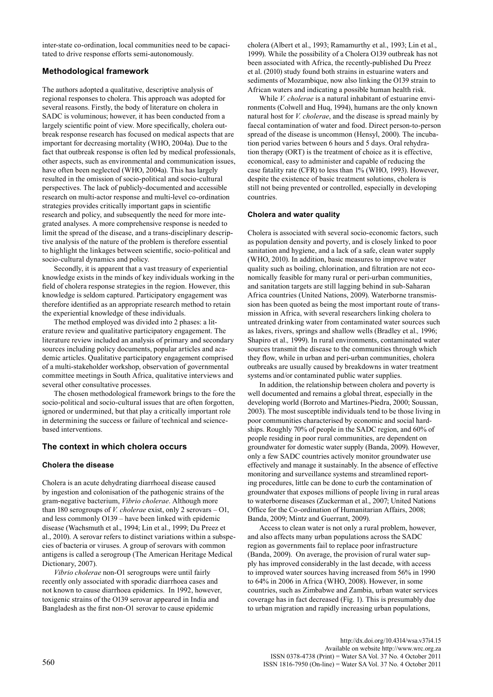inter-state co-ordination, local communities need to be capacitated to drive response efforts semi-autonomously.

# **Methodological framework**

The authors adopted a qualitative, descriptive analysis of regional responses to cholera. This approach was adopted for several reasons. Firstly, the body of literature on cholera in SADC is voluminous; however, it has been conducted from a largely scientific point of view. More specifically, cholera outbreak response research has focused on medical aspects that are important for decreasing mortality (WHO, 2004a). Due to the fact that outbreak response is often led by medical professionals, other aspects, such as environmental and communication issues, have often been neglected (WHO, 2004a). This has largely resulted in the omission of socio-political and socio-cultural perspectives. The lack of publicly-documented and accessible research on multi-actor response and multi-level co-ordination strategies provides critically important gaps in scientific research and policy, and subsequently the need for more integrated analyses. A more comprehensive response is needed to limit the spread of the disease, and a trans-disciplinary descriptive analysis of the nature of the problem is therefore essential to highlight the linkages between scientific, socio-political and socio-cultural dynamics and policy.

Secondly, it is apparent that a vast treasury of experiential knowledge exists in the minds of key individuals working in the field of cholera response strategies in the region. However, this knowledge is seldom captured. Participatory engagement was therefore identified as an appropriate research method to retain the experiential knowledge of these individuals.

The method employed was divided into 2 phases: a literature review and qualitative participatory engagement. The literature review included an analysis of primary and secondary sources including policy documents, popular articles and academic articles. Qualitative participatory engagement comprised of a multi-stakeholder workshop, observation of governmental committee meetings in South Africa, qualitative interviews and several other consultative processes.

The chosen methodological framework brings to the fore the socio-political and socio-cultural issues that are often forgotten, ignored or undermined, but that play a critically important role in determining the success or failure of technical and sciencebased interventions.

# **The context in which cholera occurs**

## **Cholera the disease**

Cholera is an acute dehydrating diarrhoeal disease caused by ingestion and colonisation of the pathogenic strains of the gram-negative bacterium, *Vibrio cholerae*. Although more than 180 serogroups of *V. cholerae* exist, only 2 serovars – O1, and less commonly O139 – have been linked with epidemic disease (Wachsmuth et al., 1994; Lin et al., 1999; Du Preez et al., 2010). A serovar refers to distinct variations within a subspecies of bacteria or viruses. A group of serovars with common antigens is called a serogroup (The American Heritage Medical Dictionary, 2007).

*Vibrio cholerae* non-O1 serogroups were until fairly recently only associated with sporadic diarrhoea cases and not known to cause diarrhoea epidemics. In 1992, however, toxigenic strains of the O139 serovar appeared in India and Bangladesh as the first non-O1 serovar to cause epidemic

cholera (Albert et al., 1993; Ramamurthy et al., 1993; Lin et al., 1999). While the possibility of a Cholera O139 outbreak has not been associated with Africa, the recently-published Du Preez et al. (2010) study found both strains in estuarine waters and sediments of Mozambique, now also linking the O139 strain to African waters and indicating a possible human health risk.

While *V. cholerae* is a natural inhabitant of estuarine environments (Colwell and Huq, 1994), humans are the only known natural host for *V. cholerae*, and the disease is spread mainly by faecal contamination of water and food. Direct person-to-person spread of the disease is uncommon (Hensyl, 2000). The incubation period varies between 6 hours and 5 days. Oral rehydration therapy (ORT) is the treatment of choice as it is effective, economical, easy to administer and capable of reducing the case fatality rate (CFR) to less than 1% (WHO, 1993). However, despite the existence of basic treatment solutions, cholera is still not being prevented or controlled, especially in developing countries.

#### **Cholera and water quality**

Cholera is associated with several socio-economic factors, such as population density and poverty, and is closely linked to poor sanitation and hygiene, and a lack of a safe, clean water supply (WHO, 2010). In addition, basic measures to improve water quality such as boiling, chlorination, and filtration are not economically feasible for many rural or peri-urban communities, and sanitation targets are still lagging behind in sub-Saharan Africa countries (United Nations, 2009). Waterborne transmission has been quoted as being the most important route of transmission in Africa, with several researchers linking cholera to untreated drinking water from contaminated water sources such as lakes, rivers, springs and shallow wells (Bradley et al.*,* 1996; Shapiro et al.*,* 1999). In rural environments, contaminated water sources transmit the disease to the communities through which they flow, while in urban and peri-urban communities, cholera outbreaks are usually caused by breakdowns in water treatment systems and/or contaminated public water supplies.

In addition, the relationship between cholera and poverty is well documented and remains a global threat, especially in the developing world (Borroto and Martines-Piedra, 2000; Soussan, 2003). The most susceptible individuals tend to be those living in poor communities characterised by economic and social hardships. Roughly 70% of people in the SADC region, and 60% of people residing in poor rural communities, are dependent on groundwater for domestic water supply (Banda, 2009). However, only a few SADC countries actively monitor groundwater use effectively and manage it sustainably. In the absence of effective monitoring and surveillance systems and streamlined reporting procedures, little can be done to curb the contamination of groundwater that exposes millions of people living in rural areas to waterborne diseases (Zuckerman et al., 2007; United Nations Office for the Co-ordination of Humanitarian Affairs, 2008; Banda, 2009; Mintz and Guerrant, 2009).

Access to clean water is not only a rural problem, however, and also affects many urban populations across the SADC region as governments fail to replace poor infrastructure (Banda, 2009). On average, the provision of rural water supply has improved considerably in the last decade, with access to improved water sources having increased from 56% in 1990 to 64% in 2006 in Africa (WHO, 2008). However, in some countries, such as Zimbabwe and Zambia, urban water services coverage has in fact decreased (Fig. 1). This is presumably due to urban migration and rapidly increasing urban populations,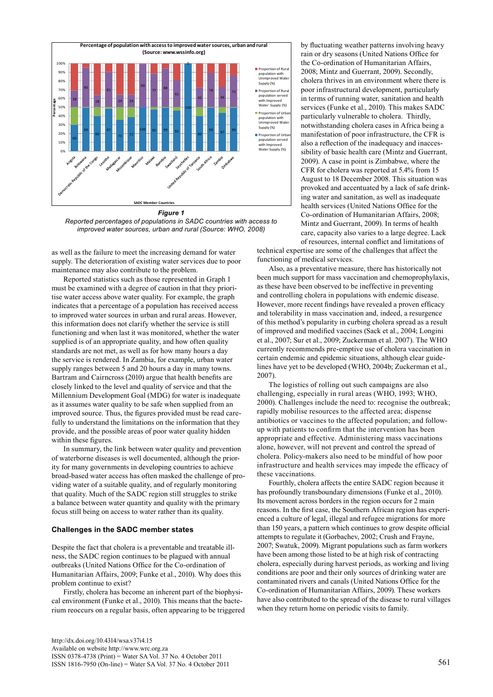

*Reported percentages of populations in SADC countries with access to improved water sources, urban and rural (Source: WHO, 2008)*

as well as the failure to meet the increasing demand for water supply. The deterioration of existing water services due to poor maintenance may also contribute to the problem.

Reported statistics such as those represented in Graph 1 must be examined with a degree of caution in that they prioritise water access above water quality. For example, the graph indicates that a percentage of a population has received access to improved water sources in urban and rural areas. However, this information does not clarify whether the service is still functioning and when last it was monitored, whether the water supplied is of an appropriate quality, and how often quality standards are not met, as well as for how many hours a day the service is rendered. In Zambia, for example, urban water supply ranges between 5 and 20 hours a day in many towns. Bartram and Cairncross (2010) argue that health benefits are closely linked to the level and quality of service and that the Millennium Development Goal (MDG) for water is inadequate as it assumes water quality to be safe when supplied from an improved source. Thus, the figures provided must be read carefully to understand the limitations on the information that they provide, and the possible areas of poor water quality hidden within these figures.

In summary, the link between water quality and prevention of waterborne diseases is well documented, although the priority for many governments in developing countries to achieve broad-based water access has often masked the challenge of providing water of a suitable quality, and of regularly monitoring that quality. Much of the SADC region still struggles to strike a balance between water quantity and quality with the primary focus still being on access to water rather than its quality.

#### **Challenges in the SADC member states**

Despite the fact that cholera is a preventable and treatable illness, the SADC region continues to be plagued with annual outbreaks (United Nations Office for the Co-ordination of Humanitarian Affairs, 2009; Funke et al., 2010). Why does this problem continue to exist?

Firstly, cholera has become an inherent part of the biophysical environment (Funke et al., 2010). This means that the bacterium reoccurs on a regular basis, often appearing to be triggered

<http://dx.doi.org/10.4314/wsa.v37i4.15> Available on website http://www.wrc.org.za ISSN 0378-4738 (Print) = Water SA Vol. 37 No. 4 October 2011  $1$ SSN 1816-7950 (On-line) = Water SA Vol. 37 No. 4 October 2011 561  $\frac{1}{2}$  561

by fluctuating weather patterns involving heavy rain or dry seasons (United Nations Office for the Co-ordination of Humanitarian Affairs, 2008; Mintz and Guerrant, 2009). Secondly, cholera thrives in an environment where there is poor infrastructural development, particularly in terms of running water, sanitation and health services (Funke et al., 2010). This makes SADC particularly vulnerable to cholera. Thirdly, notwithstanding cholera cases in Africa being a manifestation of poor infrastructure, the CFR is also a reflection of the inadequacy and inaccessibility of basic health care (Mintz and Guerrant, 2009). A case in point is Zimbabwe, where the CFR for cholera was reported at 5.4% from 15 August to 18 December 2008. This situation was provoked and accentuated by a lack of safe drinking water and sanitation, as well as inadequate health services (United Nations Office for the Co-ordination of Humanitarian Affairs, 2008; Mintz and Guerrant, 2009). In terms of health care, capacity also varies to a large degree. Lack of resources, internal conflict and limitations of

technical expertise are some of the challenges that affect the functioning of medical services.

Also, as a preventative measure, there has historically not been much support for mass vaccination and chemoprophylaxis, as these have been observed to be ineffective in preventing and controlling cholera in populations with endemic disease. However, more recent findings have revealed a proven efficacy and tolerability in mass vaccination and, indeed, a resurgence of this method's popularity in curbing cholera spread as a result of improved and modified vaccines (Sack et al., 2004; Longini et al., 2007; Sur et al., 2009; Zuckerman et al. 2007). The WHO currently recommends pre-emptive use of cholera vaccination in certain endemic and epidemic situations, although clear guidelines have yet to be developed (WHO, 2004b; Zuckerman et al., 2007).

The logistics of rolling out such campaigns are also challenging, especially in rural areas (WHO, 1993; WHO, 2000). Challenges include the need to: recognise the outbreak; rapidly mobilise resources to the affected area; dispense antibiotics or vaccines to the affected population; and followup with patients to confirm that the intervention has been appropriate and effective. Administering mass vaccinations alone, however, will not prevent and control the spread of cholera. Policy-makers also need to be mindful of how poor infrastructure and health services may impede the efficacy of these vaccinations.

Fourthly, cholera affects the entire SADC region because it has profoundly transboundary dimensions (Funke et al., 2010). Its movement across borders in the region occurs for 2 main reasons. In the first case, the Southern African region has experienced a culture of legal, illegal and refugee migrations for more than 150 years, a pattern which continues to grow despite official attempts to regulate it (Gorbachev, 2002; Crush and Frayne, 2007; Swatuk, 2009). Migrant populations such as farm workers have been among those listed to be at high risk of contracting cholera, especially during harvest periods, as working and living conditions are poor and their only sources of drinking water are contaminated rivers and canals (United Nations Office for the Co-ordination of Humanitarian Affairs, 2009). These workers have also contributed to the spread of the disease to rural villages when they return home on periodic visits to family.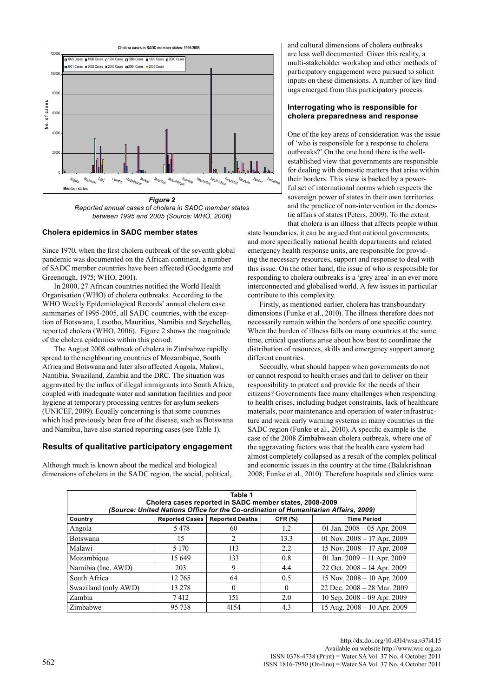

*Figure 2 Reported annual cases of cholera in SADC member states between 1995 and 2005 (Source: WHO, 2006)*

#### **Cholera epidemics in SADC member states**

Since 1970, when the first cholera outbreak of the seventh global pandemic was documented on the African continent, a number of SADC member countries have been affected (Goodgame and Greenough, 1975; WHO, 2001).

In 2000, 27 African countries notified the World Health Organisation (WHO) of cholera outbreaks. According to the WHO Weekly Epidemiological Records' annual cholera case summaries of 1995-2005, all SADC countries, with the exception of Botswana, Lesotho, Mauritius, Namibia and Seychelles, reported cholera (WHO, 2006). Figure 2 shows the magnitude of the cholera epidemics within this period.

The August 2008 outbreak of cholera in Zimbabwe rapidly spread to the neighbouring countries of Mozambique, South Africa and Botswana and later also affected Angola, Malawi, Namibia, Swaziland, Zambia and the DRC. The situation was aggravated by the influx of illegal immigrants into South Africa, coupled with inadequate water and sanitation facilities and poor hygiene at temporary processing centres for asylum seekers (UNICEF, 2009). Equally concerning is that some countries which had previously been free of the disease, such as Botswana and Namibia, have also started reporting cases (see Table 1).

# **Results of qualitative participatory engagement**

Although much is known about the medical and biological dimensions of cholera in the SADC region, the social, political, and cultural dimensions of cholera outbreaks are less well documented. Given this reality, a multi-stakeholder workshop and other methods of participatory engagement were pursued to solicit inputs on these dimensions. A number of key findings emerged from this participatory process.

# **Interrogating who is responsible for cholera preparedness and response**

One of the key areas of consideration was the issue of 'who is responsible for a response to cholera outbreaks?' On the one hand there is the wellestablished view that governments are responsible for dealing with domestic matters that arise within their borders. This view is backed by a powerful set of international norms which respects the sovereign power of states in their own territories and the practice of non-intervention in the domestic affairs of states (Peters, 2009). To the extent that cholera is an illness that affects people within

state boundaries, it can be argued that national governments, and more specifically national health departments and related emergency health response units, are responsible for providing the necessary resources, support and response to deal with this issue. On the other hand, the issue of who is responsible for responding to cholera outbreaks is a 'grey area' in an ever more interconnected and globalised world. A few issues in particular contribute to this complexity.

Firstly, as mentioned earlier, cholera has transboundary dimensions (Funke et al., 2010). The illness therefore does not necessarily remain within the borders of one specific country. When the burden of illness falls on many countries at the same time, critical questions arise about how best to coordinate the distribution of resources, skills and emergency support among different countries.

Secondly, what should happen when governments do not or cannot respond to health crises and fail to deliver on their responsibility to protect and provide for the needs of their citizens? Governments face many challenges when responding to health crises, including budget constraints, lack of healthcare materials, poor maintenance and operation of water infrastructure and weak early warning systems in many countries in the SADC region (Funke et al., 2010). A specific example is the case of the 2008 Zimbabwean cholera outbreak, where one of the aggravating factors was that the health care system had almost completely collapsed as a result of the complex political and economic issues in the country at the time (Balakrishnan 2008; Funke et al., 2010). Therefore hospitals and clinics were

| Table 1<br>Cholera cases reported in SADC member states, 2008-2009<br>(Source: United Nations Office for the Co-ordination of Humanitarian Affairs, 2009) |                       |                        |                |                                 |
|-----------------------------------------------------------------------------------------------------------------------------------------------------------|-----------------------|------------------------|----------------|---------------------------------|
| Country                                                                                                                                                   | <b>Reported Cases</b> | <b>Reported Deaths</b> | <b>CFR (%)</b> | <b>Time Period</b>              |
| Angola                                                                                                                                                    | 5478                  | 60                     | 1.2            | 01 Jan. $2008 - 05$ Apr. 2009   |
| <b>Botswana</b>                                                                                                                                           | 15                    |                        | 13.3           | 01 Nov. $2008 - 17$ Apr. 2009   |
| Malawi                                                                                                                                                    | 5 1 7 0               | 113                    | 2.2            | 15 Nov. 2008 - 17 Apr. 2009     |
| Mozambique                                                                                                                                                | 15 649                | 133                    | 0.8            | 01 Jan. $2009 - 11$ Apr. $2009$ |
| Namibia (Inc. AWD)                                                                                                                                        | 203                   | 9                      | 4.4            | 22 Oct. 2008 - 14 Apr. 2009     |
| South Africa                                                                                                                                              | 12 765                | 64                     | 0.5            | 15 Nov. $2008 - 10$ Apr. 2009   |
| Swaziland (only AWD)                                                                                                                                      | 13 278                | $\Omega$               | $\Omega$       | 22 Dec. $2008 - 28$ Mar. $2009$ |
| Zambia                                                                                                                                                    | 7412                  | 151                    | 2.0            | 10 Sep. $2008 - 09$ Apr. 2009   |
| Zimbabwe                                                                                                                                                  | 95 738                | 4154                   | 4.3            | 15 Aug. $2008 - 10$ Apr. 2009   |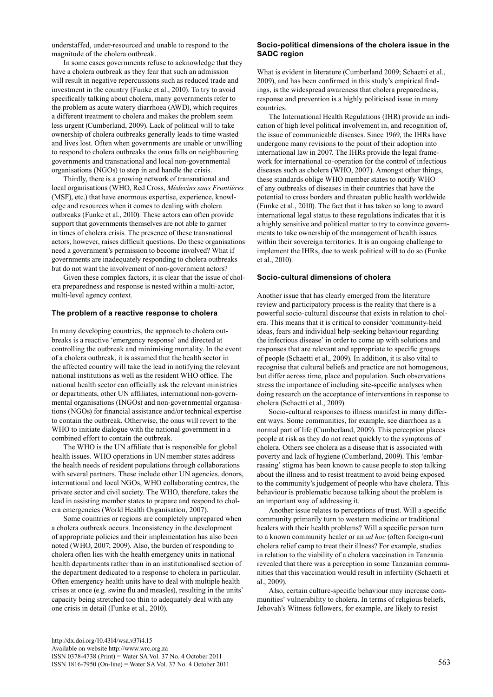understaffed, under-resourced and unable to respond to the magnitude of the cholera outbreak.

In some cases governments refuse to acknowledge that they have a cholera outbreak as they fear that such an admission will result in negative repercussions such as reduced trade and investment in the country (Funke et al., 2010). To try to avoid specifically talking about cholera, many governments refer to the problem as acute watery diarrhoea (AWD), which requires a different treatment to cholera and makes the problem seem less urgent (Cumberland, 2009). Lack of political will to take ownership of cholera outbreaks generally leads to time wasted and lives lost. Often when governments are unable or unwilling to respond to cholera outbreaks the onus falls on neighbouring governments and transnational and local non-governmental organisations (NGOs) to step in and handle the crisis.

Thirdly, there is a growing network of transnational and local organisations (WHO, Red Cross, *Médecins sans Frontières*  (MSF), etc.) that have enormous expertise, experience, knowledge and resources when it comes to dealing with cholera outbreaks (Funke et al., 2010). These actors can often provide support that governments themselves are not able to garner in times of cholera crisis. The presence of these transnational actors, however, raises difficult questions. Do these organisations need a government's permission to become involved? What if governments are inadequately responding to cholera outbreaks but do not want the involvement of non-government actors?

Given these complex factors, it is clear that the issue of cholera preparedness and response is nested within a multi-actor, multi-level agency context.

#### **The problem of a reactive response to cholera**

In many developing countries, the approach to cholera outbreaks is a reactive 'emergency response' and directed at controlling the outbreak and minimising mortality. In the event of a cholera outbreak, it is assumed that the health sector in the affected country will take the lead in notifying the relevant national institutions as well as the resident WHO office. The national health sector can officially ask the relevant ministries or departments, other UN affiliates, international non-governmental organisations (INGOs) and non-governmental organisations (NGOs) for financial assistance and/or technical expertise to contain the outbreak. Otherwise, the onus will revert to the WHO to initiate dialogue with the national government in a combined effort to contain the outbreak.

The WHO is the UN affiliate that is responsible for global health issues. WHO operations in UN member states address the health needs of resident populations through collaborations with several partners. These include other UN agencies, donors, international and local NGOs, WHO collaborating centres, the private sector and civil society. The WHO, therefore, takes the lead in assisting member states to prepare and respond to cholera emergencies (World Health Organisation, 2007).

Some countries or regions are completely unprepared when a cholera outbreak occurs. Inconsistency in the development of appropriate policies and their implementation has also been noted (WHO, 2007; 2009). Also, the burden of responding to cholera often lies with the health emergency units in national health departments rather than in an institutionalised section of the department dedicated to a response to cholera in particular. Often emergency health units have to deal with multiple health crises at once (e.g. swine flu and measles), resulting in the units' capacity being stretched too thin to adequately deal with any one crisis in detail (Funke et al., 2010).

## **Socio-political dimensions of the cholera issue in the SADC region**

What is evident in literature (Cumberland 2009; Schaetti et al., 2009), and has been confirmed in this study's empirical findings, is the widespread awareness that cholera preparedness, response and prevention is a highly politicised issue in many countries.

The International Health Regulations (IHR) provide an indication of high level political involvement in, and recognition of, the issue of communicable diseases. Since 1969, the IHRs have undergone many revisions to the point of their adoption into international law in 2007. The IHRs provide the legal framework for international co-operation for the control of infectious diseases such as cholera (WHO, 2007). Amongst other things, these standards oblige WHO member states to notify WHO of any outbreaks of diseases in their countries that have the potential to cross borders and threaten public health worldwide (Funke et al., 2010). The fact that it has taken so long to award international legal status to these regulations indicates that it is a highly sensitive and political matter to try to convince governments to take ownership of the management of health issues within their sovereign territories. It is an ongoing challenge to implement the IHRs, due to weak political will to do so (Funke et al., 2010).

# **Socio-cultural dimensions of cholera**

Another issue that has clearly emerged from the literature review and participatory process is the reality that there is a powerful socio-cultural discourse that exists in relation to cholera. This means that it is critical to consider 'community-held ideas, fears and individual help-seeking behaviour regarding the infectious disease' in order to come up with solutions and responses that are relevant and appropriate to specific groups of people (Schaetti et al., 2009). In addition, it is also vital to recognise that cultural beliefs and practice are not homogenous, but differ across time, place and population. Such observations stress the importance of including site-specific analyses when doing research on the acceptance of interventions in response to cholera (Schaetti et al., 2009).

Socio-cultural responses to illness manifest in many different ways. Some communities, for example, see diarrhoea as a normal part of life (Cumberland, 2009). This perception places people at risk as they do not react quickly to the symptoms of cholera. Others see cholera as a disease that is associated with poverty and lack of hygiene (Cumberland, 2009). This 'embarrassing' stigma has been known to cause people to stop talking about the illness and to resist treatment to avoid being exposed to the community's judgement of people who have cholera. This behaviour is problematic because talking about the problem is an important way of addressing it.

Another issue relates to perceptions of trust. Will a specific community primarily turn to western medicine or traditional healers with their health problems? Will a specific person turn to a known community healer or an *ad hoc* (often foreign-run) cholera relief camp to treat their illness? For example, studies in relation to the viability of a cholera vaccination in Tanzania revealed that there was a perception in some Tanzanian communities that this vaccination would result in infertility (Schaetti et al., 2009).

Also, certain culture-specific behaviour may increase communities' vulnerability to cholera. In terms of religious beliefs, Jehovah's Witness followers, for example, are likely to resist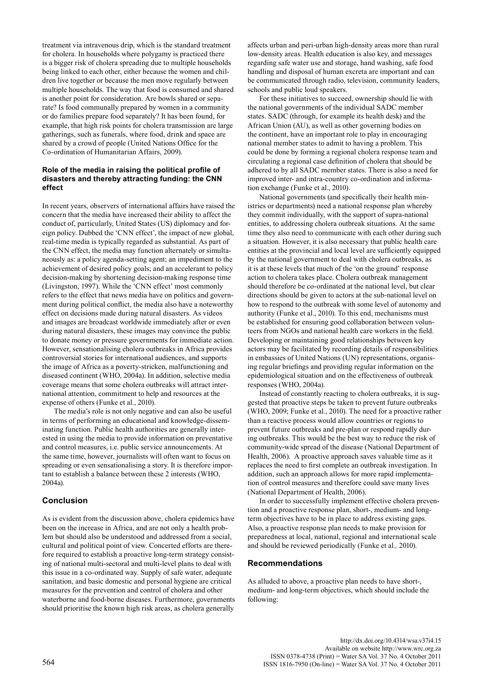treatment via intravenous drip, which is the standard treatment for cholera. In households where polygamy is practiced there is a bigger risk of cholera spreading due to multiple households being linked to each other, either because the women and children live together or because the men move regularly between multiple households. The way that food is consumed and shared is another point for consideration. Are bowls shared or separate? Is food communally prepared by women in a community or do families prepare food separately? It has been found, for example, that high risk points for cholera transmission are large gatherings, such as funerals, where food, drink and space are shared by a crowd of people (United Nations Office for the Co-ordination of Humanitarian Affairs, 2009).

# **Role of the media in raising the political profile of disasters and thereby attracting funding: the CNN effect**

In recent years, observers of international affairs have raised the concern that the media have increased their ability to affect the conduct of, particularly, United States (US) diplomacy and foreign policy. Dubbed the 'CNN effect', the impact of new global, real-time media is typically regarded as substantial. As part of the CNN effect, the media may function alternately or simultaneously as: a policy agenda-setting agent; an impediment to the achievement of desired policy goals; and an accelerant to policy decision-making by shortening decision-making response time (Livingston, 1997). While the 'CNN effect' most commonly refers to the effect that news media have on politics and government during political conflict, the media also have a noteworthy effect on decisions made during natural disasters. As videos and images are broadcast worldwide immediately after or even during natural disasters, these images may convince the public to donate money or pressure governments for immediate action. However, sensationalising cholera outbreaks in Africa provides controversial stories for international audiences, and supports the image of Africa as a poverty-stricken, malfunctioning and diseased continent (WHO, 2004a). In addition, selective media coverage means that some cholera outbreaks will attract international attention, commitment to help and resources at the expense of others (Funke et al*.*, 2010).

The media's role is not only negative and can also be useful in terms of performing an educational and knowledge-disseminating function. Public health authorities are generally interested in using the media to provide information on preventative and control measures, i.e. public service announcements. At the same time, however, journalists will often want to focus on spreading or even sensationalising a story. It is therefore important to establish a balance between these 2 interests (WHO, 2004a).

# **Conclusion**

As is evident from the discussion above, cholera epidemics have been on the increase in Africa, and are not only a health problem but should also be understood and addressed from a social, cultural and political point of view. Concerted efforts are therefore required to establish a proactive long-term strategy consisting of national multi-sectoral and multi-level plans to deal with this issue in a co-ordinated way. Supply of safe water, adequate sanitation, and basic domestic and personal hygiene are critical measures for the prevention and control of cholera and other waterborne and food-borne diseases. Furthermore, governments should prioritise the known high risk areas, as cholera generally

affects urban and peri-urban high-density areas more than rural low-density areas. Health education is also key, and messages regarding safe water use and storage, hand washing, safe food handling and disposal of human excreta are important and can be communicated through radio, television, community leaders, schools and public loud speakers.

For these initiatives to succeed, ownership should lie with the national governments of the individual SADC member states. SADC (through, for example its health desk) and the African Union (AU), as well as other governing bodies on the continent, have an important role to play in encouraging national member states to admit to having a problem. This could be done by forming a regional cholera response team and circulating a regional case definition of cholera that should be adhered to by all SADC member states. There is also a need for improved inter- and intra-country co-ordination and information exchange (Funke et al., 2010).

National governments (and specifically their health ministries or departments) need a national response plan whereby they commit individually, with the support of supra-national entities, to addressing cholera outbreak situations. At the same time they also need to communicate with each other during such a situation. However, it is also necessary that public health care entities at the provincial and local level are sufficiently equipped by the national government to deal with cholera outbreaks, as it is at these levels that much of the 'on the ground' response action to cholera takes place. Cholera outbreak management should therefore be co-ordinated at the national level, but clear directions should be given to actors at the sub-national level on how to respond to the outbreak with some level of autonomy and authority (Funke et al., 2010). To this end, mechanisms must be established for ensuring good collaboration between volunteers from NGOs and national health care workers in the field. Developing or maintaining good relationships between key actors may be facilitated by recording details of responsibilities in embassies of United Nations (UN) representations, organising regular briefings and providing regular information on the epidemiological situation and on the effectiveness of outbreak responses (WHO, 2004a).

Instead of constantly reacting to cholera outbreaks, it is suggested that proactive steps be taken to prevent future outbreaks (WHO, 2009; Funke et al*.*, 2010). The need for a proactive rather than a reactive process would allow countries or regions to prevent future outbreaks and pre-plan or respond rapidly during outbreaks. This would be the best way to reduce the risk of community-wide spread of the disease (National Department of Health, 2006). A proactive approach saves valuable time as it replaces the need to first complete an outbreak investigation. In addition, such an approach allows for more rapid implementation of control measures and therefore could save many lives (National Department of Health, 2006).

In order to successfully implement effective cholera prevention and a proactive response plan, short-, medium- and longterm objectives have to be in place to address existing gaps. Also, a proactive response plan needs to make provision for preparedness at local, national, regional and international scale and should be reviewed periodically (Funke et al*.,* 2010).

#### **Recommendations**

As alluded to above, a proactive plan needs to have short-, medium- and long-term objectives, which should include the following: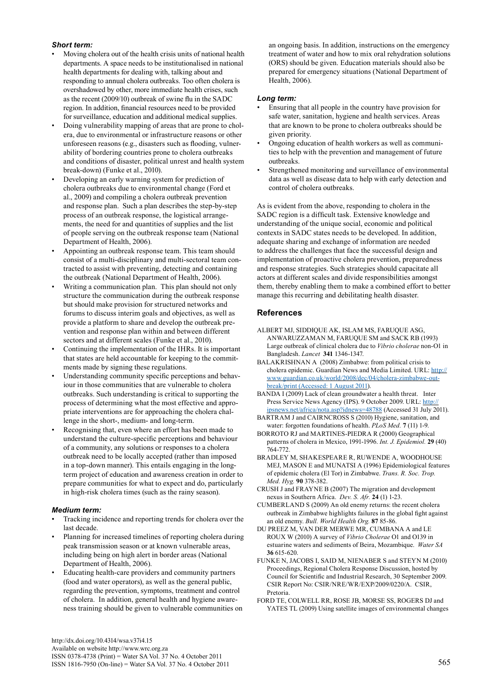# *Short term:*

- Moving cholera out of the health crisis units of national health departments. A space needs to be institutionalised in national health departments for dealing with, talking about and responding to annual cholera outbreaks. Too often cholera is overshadowed by other, more immediate health crises, such as the recent (2009/10) outbreak of swine flu in the SADC region. In addition, financial resources need to be provided for surveillance, education and additional medical supplies.
- Doing vulnerability mapping of areas that are prone to cholera, due to environmental or infrastructure reasons or other unforeseen reasons (e.g., disasters such as flooding, vulnerability of bordering countries prone to cholera outbreaks and conditions of disaster, political unrest and health system break-down) (Funke et al., 2010).
- Developing an early warning system for prediction of cholera outbreaks due to environmental change (Ford et al., 2009) and compiling a cholera outbreak prevention and response plan. Such a plan describes the step-by-step process of an outbreak response, the logistical arrangements, the need for and quantities of supplies and the list of people serving on the outbreak response team (National Department of Health, 2006).
- Appointing an outbreak response team. This team should consist of a multi-disciplinary and multi-sectoral team contracted to assist with preventing, detecting and containing the outbreak (National Department of Health, 2006).
- Writing a communication plan. This plan should not only structure the communication during the outbreak response but should make provision for structured networks and forums to discuss interim goals and objectives, as well as provide a platform to share and develop the outbreak prevention and response plan within and between different sectors and at different scales (Funke et al., 2010).
- Continuing the implementation of the IHRs. It is important that states are held accountable for keeping to the commitments made by signing these regulations.
- Understanding community specific perceptions and behaviour in those communities that are vulnerable to cholera outbreaks. Such understanding is critical to supporting the process of determining what the most effective and appropriate interventions are for approaching the cholera challenge in the short-, medium- and long-term.
- Recognising that, even where an effort has been made to understand the culture-specific perceptions and behaviour of a community, any solutions or responses to a cholera outbreak need to be locally accepted (rather than imposed in a top-down manner). This entails engaging in the longterm project of education and awareness creation in order to prepare communities for what to expect and do, particularly in high-risk cholera times (such as the rainy season).

## *Medium term:*

- Tracking incidence and reporting trends for cholera over the last decade.
- Planning for increased timelines of reporting cholera during peak transmission season or at known vulnerable areas, including being on high alert in border areas (National Department of Health, 2006).
- Educating health-care providers and community partners (food and water operators), as well as the general public, regarding the prevention, symptoms, treatment and control of cholera. In addition, general health and hygiene awareness training should be given to vulnerable communities on

an ongoing basis. In addition, instructions on the emergency treatment of water and how to mix oral rehydration solutions (ORS) should be given. Education materials should also be prepared for emergency situations (National Department of Health, 2006).

# *Long term:*

- Ensuring that all people in the country have provision for safe water, sanitation, hygiene and health services. Areas that are known to be prone to cholera outbreaks should be given priority.
- Ongoing education of health workers as well as communities to help with the prevention and management of future outbreaks.
- Strengthened monitoring and surveillance of environmental data as well as disease data to help with early detection and control of cholera outbreaks.

As is evident from the above, responding to cholera in the SADC region is a difficult task. Extensive knowledge and understanding of the unique social, economic and political contexts in SADC states needs to be developed. In addition, adequate sharing and exchange of information are needed to address the challenges that face the successful design and implementation of proactive cholera prevention, preparedness and response strategies. Such strategies should capacitate all actors at different scales and divide responsibilities amongst them, thereby enabling them to make a combined effort to better manage this recurring and debilitating health disaster.

# **References**

- ALBERT MJ, SIDDIQUE AK, ISLAM MS, FARUQUE ASG, ANWARUZZAMAN M, FARUQUE SM and SACK RB (1993) Large outbreak of clinical cholera due to *Vibrio cholerae* non-O1 in Bangladesh. *Lancet* **341** 1346-1347.
- BALAKRISHNAN A (2008) Zimbabwe: from political crisis to cholera epidemic. Guardian News and Media Limited. URL: [http://](http://www.guardian.co.uk/world/2008/dec/04/cholera-zimbabwe-outbreak/print%20(Accessed:%201%20August%202011) [www.guardian.co.uk/world/2008/dec/04/cholera-zimbabwe-out](http://www.guardian.co.uk/world/2008/dec/04/cholera-zimbabwe-outbreak/print%20(Accessed:%201%20August%202011)[break/print \(Accessed: 1 August 2011\)](http://www.guardian.co.uk/world/2008/dec/04/cholera-zimbabwe-outbreak/print%20(Accessed:%201%20August%202011).

BANDA I (2009) Lack of clean groundwater a health threat. Inter Press Service News Agency (IPS). 9 October 2009. URL: http:// ipsnews.net/africa/nota.asp?idnews=48788 (Accessed 31 July 2011).

- BARTRAM J and CAIRNCROSS S (2010) Hygiene, sanitation, and water: forgotten foundations of health. *PLoS Med.* **7** (11) 1-9.
- BORROTO RJ and MARTINES-PIEDRA R (2000) Geographical patterns of cholera in Mexico, 1991-1996. *Int. J. Epidemiol.* **29** (40) 764-772.
- BRADLEY M, SHAKESPEARE R, RUWENDE A, WOODHOUSE MEJ, MASON E and MUNATSI A (1996) Epidemiological features of epidemic cholera (El Tor) in Zimbabwe. *Trans. R. Soc. Trop. Med. Hyg.* **90** 378-382.
- CRUSH J and FRAYNE B (2007) The migration and development nexus in Southern Africa. *Dev. S. Afr.* **24** (1) 1-23.
- CUMBERLAND S (2009) An old enemy returns: the recent cholera outbreak in Zimbabwe highlights failures in the global fight against an old enemy. *Bull. World Health Org.* **87** 85-86.
- DU PREEZ M, VAN DER MERWE MR, CUMBANA A and LE ROUX W (2010) A survey of *Vibrio Cholerae* O1 and O139 in estuarine waters and sediments of Beira, Mozambique. *Water SA* **36** 615-620.
- FUNKE N, JACOBS I, SAID M, NIENABER S and STEYN M (2010) Proceedings, Regional Cholera Response Discussion, hosted by Council for Scientific and Industrial Research, 30 September 2009. CSIR Report No: CSIR/NRE/WR/EXP/2009/0220/A. CSIR, Pretoria.
- FORD TE, COLWELL RR, ROSE JB, MORSE SS, ROGERS DJ and YATES TL (2009) Using satellite images of environmental changes

<http://dx.doi.org/10.4314/wsa.v37i4.15> Available on website http://www.wrc.org.za ISSN 0378-4738 (Print) = Water SA Vol. 37 No. 4 October 2011 ISSN 1816-7950 (On-line) = Water SA Vol. 37 No. 4 October 2011 565